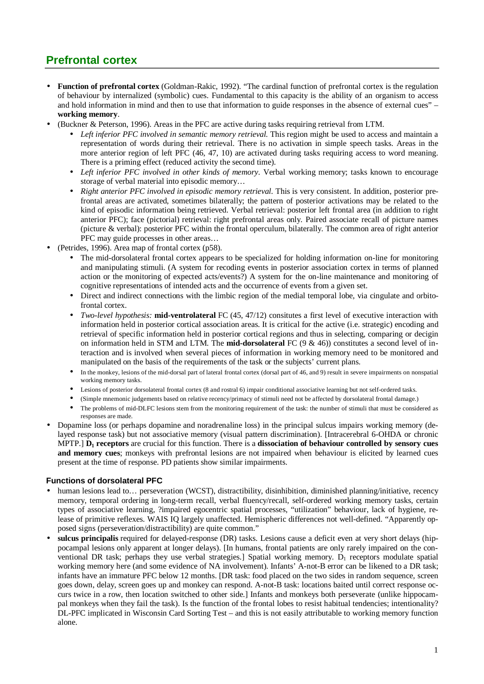## **Prefrontal cortex**

- **Function of prefrontal cortex** (Goldman-Rakic, 1992). "The cardinal function of prefrontal cortex is the regulation of behaviour by internalized (symbolic) cues. Fundamental to this capacity is the ability of an organism to access and hold information in mind and then to use that information to guide responses in the absence of external cues" – **working memory**.
- (Buckner & Peterson, 1996). Areas in the PFC are active during tasks requiring retrieval from LTM.
	- *Left inferior PFC involved in semantic memory retrieval.* This region might be used to access and maintain a representation of words during their retrieval. There is no activation in simple speech tasks. Areas in the more anterior region of left PFC (46, 47, 10) are activated during tasks requiring access to word meaning. There is a priming effect (reduced activity the second time).
	- *Left inferior PFC involved in other kinds of memory.* Verbal working memory; tasks known to encourage storage of verbal material into episodic memory…
	- *Right anterior PFC involved in episodic memory retrieval.* This is very consistent. In addition, posterior prefrontal areas are activated, sometimes bilaterally; the pattern of posterior activations may be related to the kind of episodic information being retrieved. Verbal retrieval: posterior left frontal area (in addition to right anterior PFC); face (pictorial) retrieval: right prefrontal areas only. Paired associate recall of picture names (picture & verbal): posterior PFC within the frontal operculum, bilaterally. The common area of right anterior PFC may guide processes in other areas…
- (Petrides, 1996). Area map of frontal cortex (p58).
	- The mid-dorsolateral frontal cortex appears to be specialized for holding information on-line for monitoring and manipulating stimuli. (A system for recoding events in posterior association cortex in terms of planned action or the monitoring of expected acts/events?) A system for the on-line maintenance and monitoring of cognitive representations of intended acts and the occurrence of events from a given set.
	- Direct and indirect connections with the limbic region of the medial temporal lobe, via cingulate and orbitofrontal cortex.
	- *Two-level hypothesis:* **mid-ventrolateral** FC (45, 47/12) consitutes a first level of executive interaction with information held in posterior cortical association areas. It is critical for the active (i.e. strategic) encoding and retrieval of specific information held in posterior cortical regions and thus in selecting, comparing or decigin on information held in STM and LTM. The **mid-dorsolateral** FC (9 & 46)) constitutes a second level of interaction and is involved when several pieces of information in working memory need to be monitored and manipulated on the basis of the requirements of the task or the subjects' current plans.
	- In the monkey, lesions of the mid-dorsal part of lateral frontal cortex (dorsal part of 46, and 9) result in severe impairments on nonspatial working memory tasks.
	- Lesions of posterior dorsolateral frontal cortex (8 and rostral 6) impair conditional associative learning but not self-ordered tasks.
	- (Simple mnemonic judgements based on relative recency/primacy of stimuli need not be affected by dorsolateral frontal damage.)
	- The problems of mid-DLFC lesions stem from the monitoring requirement of the task: the number of stimuli that must be considered as responses are made.
- Dopamine loss (or perhaps dopamine and noradrenaline loss) in the principal sulcus impairs working memory (delayed response task) but not associative memory (visual pattern discrimination). [Intracerebral 6-OHDA or chronic MPTP.] **D1 receptors** are crucial for this function. There is a **dissociation of behaviour controlled by sensory cues and memory cues**; monkeys with prefrontal lesions are not impaired when behaviour is elicited by learned cues present at the time of response. PD patients show similar impairments.

## **Functions of dorsolateral PFC**

- human lesions lead to… perseveration (WCST), distractibility, disinhibition, diminished planning/initiative, recency memory, temporal ordering in long-term recall, verbal fluency/recall, self-ordered working memory tasks, certain types of associative learning, ?impaired egocentric spatial processes, "utilization" behaviour, lack of hygiene, release of primitive reflexes. WAIS IQ largely unaffected. Hemispheric differences not well-defined. "Apparently opposed signs (perseveration/distractibility) are quite common."
- **sulcus principalis** required for delayed-response (DR) tasks. Lesions cause a deficit even at very short delays (hippocampal lesions only apparent at longer delays). [In humans, frontal patients are only rarely impaired on the conventional DR task; perhaps they use verbal strategies.] Spatial working memory.  $D_1$  receptors modulate spatial working memory here (and some evidence of NA involvement). Infants' A-not-B error can be likened to a DR task; infants have an immature PFC below 12 months. [DR task: food placed on the two sides in random sequence, screen goes down, delay, screen goes up and monkey can respond. A-not-B task: locations baited until correct response occurs twice in a row, then location switched to other side.] Infants and monkeys both perseverate (unlike hippocampal monkeys when they fail the task). Is the function of the frontal lobes to resist habitual tendencies; intentionality? DL-PFC implicated in Wisconsin Card Sorting Test – and this is not easily attributable to working memory function alone.